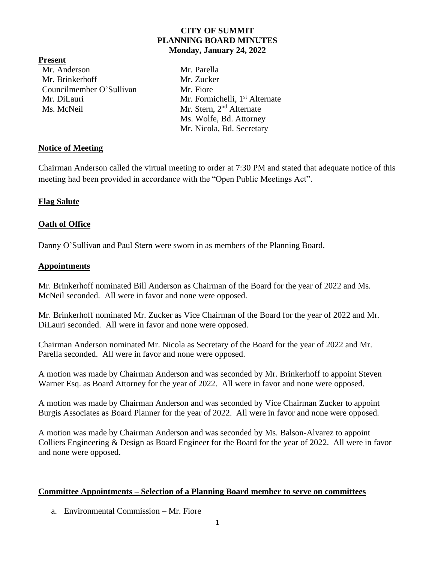## **CITY OF SUMMIT PLANNING BOARD MINUTES Monday, January 24, 2022**

#### **Present**

Mr. Anderson Mr. Parella Mr. Brinkerhoff Mr. Zucker Councilmember O'Sullivan Mr. Fiore Ms. McNeil Mr. Stern, 2<sup>nd</sup> Alternate

Mr. DiLauri Mr. Formichelli, 1<sup>st</sup> Alternate Ms. Wolfe, Bd. Attorney Mr. Nicola, Bd. Secretary

## **Notice of Meeting**

Chairman Anderson called the virtual meeting to order at 7:30 PM and stated that adequate notice of this meeting had been provided in accordance with the "Open Public Meetings Act".

# **Flag Salute**

# **Oath of Office**

Danny O'Sullivan and Paul Stern were sworn in as members of the Planning Board.

### **Appointments**

Mr. Brinkerhoff nominated Bill Anderson as Chairman of the Board for the year of 2022 and Ms. McNeil seconded. All were in favor and none were opposed.

Mr. Brinkerhoff nominated Mr. Zucker as Vice Chairman of the Board for the year of 2022 and Mr. DiLauri seconded. All were in favor and none were opposed.

Chairman Anderson nominated Mr. Nicola as Secretary of the Board for the year of 2022 and Mr. Parella seconded. All were in favor and none were opposed.

A motion was made by Chairman Anderson and was seconded by Mr. Brinkerhoff to appoint Steven Warner Esq. as Board Attorney for the year of 2022. All were in favor and none were opposed.

A motion was made by Chairman Anderson and was seconded by Vice Chairman Zucker to appoint Burgis Associates as Board Planner for the year of 2022. All were in favor and none were opposed.

A motion was made by Chairman Anderson and was seconded by Ms. Balson-Alvarez to appoint Colliers Engineering & Design as Board Engineer for the Board for the year of 2022. All were in favor and none were opposed.

### **Committee Appointments – Selection of a Planning Board member to serve on committees**

a. Environmental Commission – Mr. Fiore